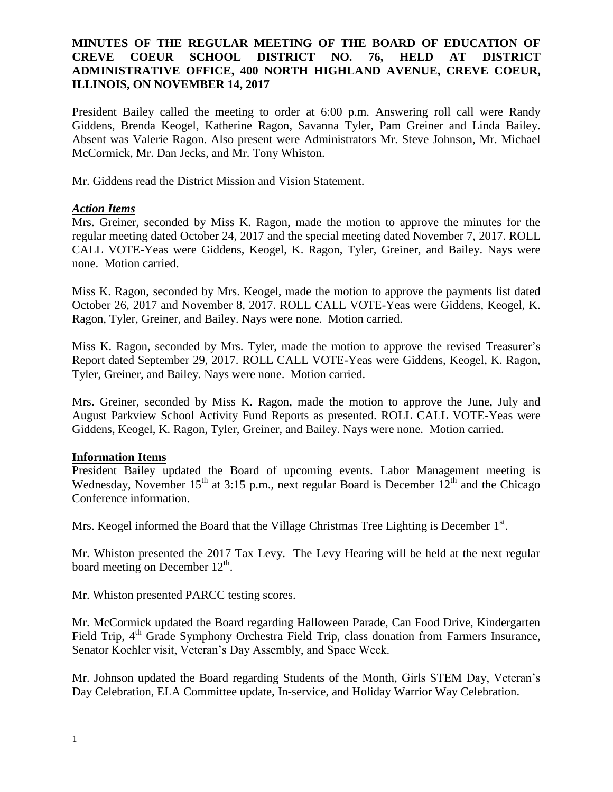## **MINUTES OF THE REGULAR MEETING OF THE BOARD OF EDUCATION OF CREVE COEUR SCHOOL DISTRICT NO. 76, HELD AT DISTRICT ADMINISTRATIVE OFFICE, 400 NORTH HIGHLAND AVENUE, CREVE COEUR, ILLINOIS, ON NOVEMBER 14, 2017**

President Bailey called the meeting to order at 6:00 p.m. Answering roll call were Randy Giddens, Brenda Keogel, Katherine Ragon, Savanna Tyler, Pam Greiner and Linda Bailey. Absent was Valerie Ragon. Also present were Administrators Mr. Steve Johnson, Mr. Michael McCormick, Mr. Dan Jecks, and Mr. Tony Whiston.

Mr. Giddens read the District Mission and Vision Statement.

### *Action Items*

Mrs. Greiner, seconded by Miss K. Ragon, made the motion to approve the minutes for the regular meeting dated October 24, 2017 and the special meeting dated November 7, 2017. ROLL CALL VOTE-Yeas were Giddens, Keogel, K. Ragon, Tyler, Greiner, and Bailey. Nays were none. Motion carried.

Miss K. Ragon, seconded by Mrs. Keogel, made the motion to approve the payments list dated October 26, 2017 and November 8, 2017. ROLL CALL VOTE-Yeas were Giddens, Keogel, K. Ragon, Tyler, Greiner, and Bailey. Nays were none. Motion carried.

Miss K. Ragon, seconded by Mrs. Tyler, made the motion to approve the revised Treasurer's Report dated September 29, 2017. ROLL CALL VOTE-Yeas were Giddens, Keogel, K. Ragon, Tyler, Greiner, and Bailey. Nays were none. Motion carried.

Mrs. Greiner, seconded by Miss K. Ragon, made the motion to approve the June, July and August Parkview School Activity Fund Reports as presented. ROLL CALL VOTE-Yeas were Giddens, Keogel, K. Ragon, Tyler, Greiner, and Bailey. Nays were none. Motion carried.

### **Information Items**

President Bailey updated the Board of upcoming events. Labor Management meeting is Wednesday, November  $15<sup>th</sup>$  at 3:15 p.m., next regular Board is December  $12<sup>th</sup>$  and the Chicago Conference information.

Mrs. Keogel informed the Board that the Village Christmas Tree Lighting is December  $1<sup>st</sup>$ .

Mr. Whiston presented the 2017 Tax Levy. The Levy Hearing will be held at the next regular board meeting on December  $12<sup>th</sup>$ .

Mr. Whiston presented PARCC testing scores.

Mr. McCormick updated the Board regarding Halloween Parade, Can Food Drive, Kindergarten Field Trip, 4<sup>th</sup> Grade Symphony Orchestra Field Trip, class donation from Farmers Insurance, Senator Koehler visit, Veteran's Day Assembly, and Space Week.

Mr. Johnson updated the Board regarding Students of the Month, Girls STEM Day, Veteran's Day Celebration, ELA Committee update, In-service, and Holiday Warrior Way Celebration.